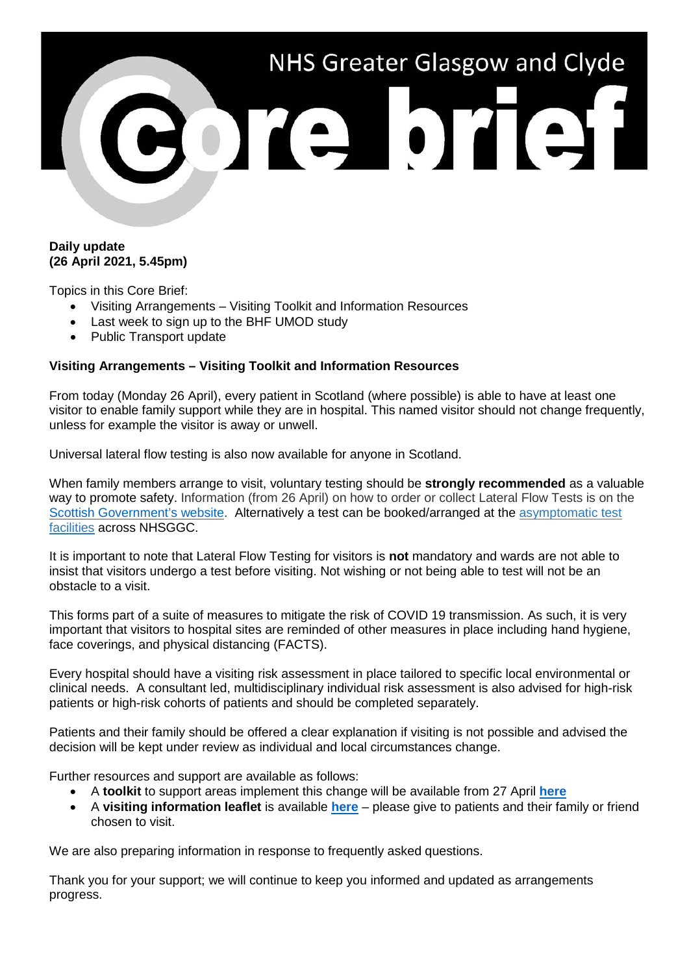

## **Daily update (26 April 2021, 5.45pm)**

Topics in this Core Brief:

- Visiting Arrangements Visiting Toolkit and Information Resources
- Last week to sign up to the BHF UMOD study
- Public Transport update

## **Visiting Arrangements – Visiting Toolkit and Information Resources**

From today (Monday 26 April), every patient in Scotland (where possible) is able to have at least one visitor to enable family support while they are in hospital. This named visitor should not change frequently, unless for example the visitor is away or unwell.

Universal lateral flow testing is also now available for anyone in Scotland.

When family members arrange to visit, voluntary testing should be **strongly recommended** as a valuable way to promote safety. Information (from 26 April) on how to order or collect Lateral Flow Tests is on the [Scottish Government's website.](https://www.gov.scot/publications/coronavirus-covid-19-getting-tested/pages/no-covid-symptoms/) Alternatively a test can be booked/arranged at the [asymptomatic test](https://www.nhsggc.org.uk/your-health/health-issues/covid-19-coronavirus/for-patients-the-public/asymptomatic-test-facilities/)  [facilities](https://www.nhsggc.org.uk/your-health/health-issues/covid-19-coronavirus/for-patients-the-public/asymptomatic-test-facilities/) across NHSGGC.

It is important to note that Lateral Flow Testing for visitors is **not** mandatory and wards are not able to insist that visitors undergo a test before visiting. Not wishing or not being able to test will not be an obstacle to a visit.

This forms part of a suite of measures to mitigate the risk of COVID 19 transmission. As such, it is very important that visitors to hospital sites are reminded of other measures in place including hand hygiene, face coverings, and physical distancing (FACTS).

Every hospital should have a visiting risk assessment in place tailored to specific local environmental or clinical needs. A consultant led, multidisciplinary individual risk assessment is also advised for high-risk patients or high-risk cohorts of patients and should be completed separately.

Patients and their family should be offered a clear explanation if visiting is not possible and advised the decision will be kept under review as individual and local circumstances change.

Further resources and support are available as follows:

- A **toolkit** to support areas implement this change will be available from 27 April **[here](https://www.nhsggc.org.uk/your-health/health-issues/covid-19-coronavirus/for-nhsggc-staff/for-acute-medical-dental-staff/hospital-visiting-toolkit/)**
- A **visiting information leaflet** is available **[here](https://www.nhsggc.org.uk/your-health/health-issues/covid-19-coronavirus/for-patients-the-public/patients-hospital-appointments-visiting/hospital-visiting/)** please give to patients and their family or friend chosen to visit.

We are also preparing information in response to frequently asked questions.

Thank you for your support; we will continue to keep you informed and updated as arrangements progress.